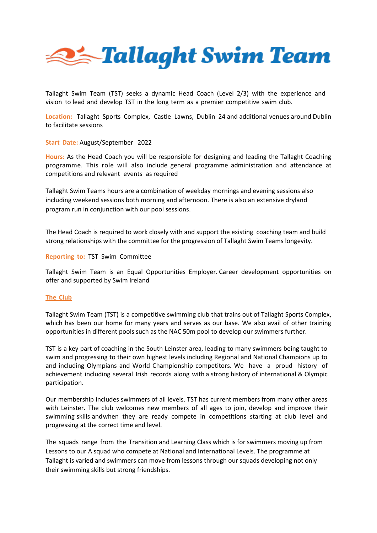

Tallaght Swim Team (TST) seeks a dynamic Head Coach (Level 2/3) with the experience and vision to lead and develop TST in the long term as a premier competitive swim club.

**Location:** Tallaght Sports Complex, Castle Lawns, Dublin 24 and additional venues around Dublin to facilitate sessions

## **Start Date:** August/September 2022

**Hours:** As the Head Coach you will be responsible for designing and leading the Tallaght Coaching programme. This role will also include general programme administration and attendance at competitions and relevant events as required

Tallaght Swim Teams hours are a combination of weekday mornings and evening sessions also including weekend sessions both morning and afternoon. There is also an extensive dryland program run in conjunction with our pool sessions.

The Head Coach is required to work closely with and support the existing coaching team and build strong relationships with the committee for the progression of Tallaght Swim Teams longevity.

### **Reporting to:** TST Swim Committee

Tallaght Swim Team is an Equal Opportunities Employer. Career development opportunities on offer and supported by Swim Ireland

### **The Club**

Tallaght Swim Team (TST) is a competitive swimming club that trains out of Tallaght Sports Complex, which has been our home for many years and serves as our base. We also avail of other training opportunities in different pools such as the NAC 50m pool to develop our swimmers further.

TST is a key part of coaching in the South Leinster area, leading to many swimmers being taught to swim and progressing to their own highest levels including Regional and National Champions up to and including Olympians and World Championship competitors. We have a proud history of achievement including several Irish records along with a strong history of international & Olympic participation.

Our membership includes swimmers of all levels. TST has current members from many other areas with Leinster. The club welcomes new members of all ages to join, develop and improve their swimming skills and when they are ready compete in competitions starting at club level and progressing at the correct time and level.

The squads range from the Transition and Learning Class which is for swimmers moving up from Lessons to our A squad who compete at National and International Levels. The programme at Tallaght is varied and swimmers can move from lessons through our squads developing not only their swimming skills but strong friendships.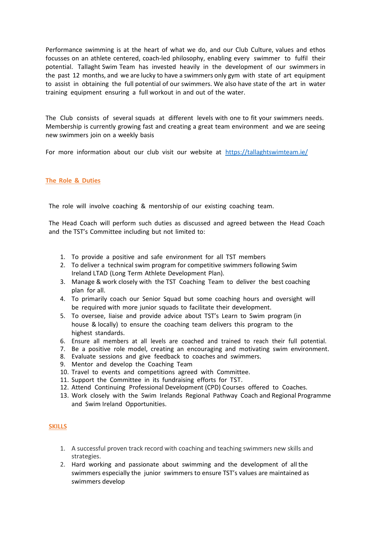Performance swimming is at the heart of what we do, and our Club Culture, values and ethos focusses on an athlete centered, coach-led philosophy, enabling every swimmer to fulfil their potential. Tallaght Swim Team has invested heavily in the development of our swimmers in the past 12 months, and we are lucky to have a swimmers only gym with state of art equipment to assist in obtaining the full potential of our swimmers. We also have state of the art in water training equipment ensuring a full workout in and out of the water.

The Club consists of several squads at different levels with one to fit your swimmers needs. Membership is currently growing fast and creating a great team environment and we are seeing new swimmers join on a weekly basis

For more information about our club visit our website at <https://tallaghtswimteam.ie/>

# **The Role & Duties**

The role will involve coaching & mentorship of our existing coaching team.

The Head Coach will perform such duties as discussed and agreed between the Head Coach and the TST's Committee including but not limited to:

- 1. To provide a positive and safe environment for all TST members
- 2. To deliver a technical swim program for competitive swimmers following Swim Ireland LTAD (Long Term Athlete Development Plan).
- 3. Manage & work closely with the TST Coaching Team to deliver the best coaching plan for all.
- 4. To primarily coach our Senior Squad but some coaching hours and oversight will be required with more junior squads to facilitate their development.
- 5. To oversee, liaise and provide advice about TST's Learn to Swim program (in house & locally) to ensure the coaching team delivers this program to the highest standards.
- 6. Ensure all members at all levels are coached and trained to reach their full potential.
- 7. Be a positive role model, creating an encouraging and motivating swim environment.
- 8. Evaluate sessions and give feedback to coaches and swimmers.
- 9. Mentor and develop the Coaching Team
- 10. Travel to events and competitions agreed with Committee.
- 11. Support the Committee in its fundraising efforts for TST.
- 12. Attend Continuing Professional Development (CPD) Courses offered to Coaches.
- 13. Work closely with the Swim Irelands Regional Pathway Coach and Regional Programme and Swim Ireland Opportunities.

### **SKILLS**

- 1. A successful proven track record with coaching and teaching swimmers new skills and strategies.
- 2. Hard working and passionate about swimming and the development of all the swimmers especially the junior swimmers to ensure TST's values are maintained as swimmers develop